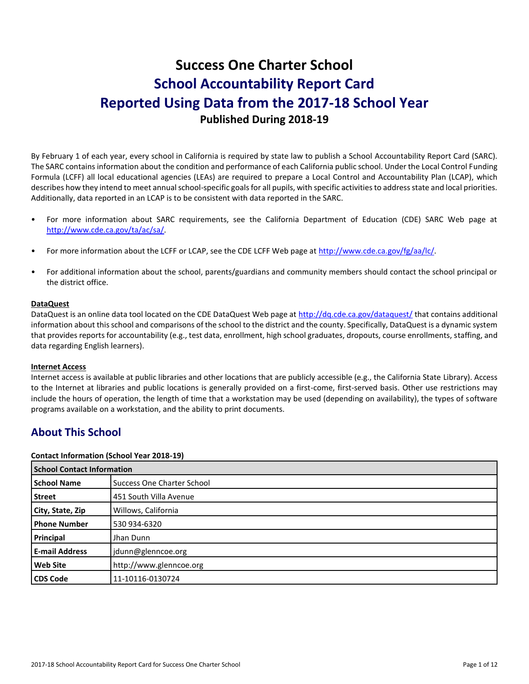# **Success One Charter School School Accountability Report Card Reported Using Data from the 2017-18 School Year Published During 2018-19**

By February 1 of each year, every school in California is required by state law to publish a School Accountability Report Card (SARC). The SARC contains information about the condition and performance of each California public school. Under the Local Control Funding Formula (LCFF) all local educational agencies (LEAs) are required to prepare a Local Control and Accountability Plan (LCAP), which describes how they intend to meet annual school-specific goals for all pupils, with specific activities to address state and local priorities. Additionally, data reported in an LCAP is to be consistent with data reported in the SARC.

- For more information about SARC requirements, see the California Department of Education (CDE) SARC Web page at [http://www.cde.ca.gov/ta/ac/sa/.](http://www.cde.ca.gov/ta/ac/sa/)
- For more information about the LCFF or LCAP, see the CDE LCFF Web page at [http://www.cde.ca.gov/fg/aa/lc/.](http://www.cde.ca.gov/fg/aa/lc/)
- For additional information about the school, parents/guardians and community members should contact the school principal or the district office.

### **DataQuest**

DataQuest is an online data tool located on the CDE DataQuest Web page a[t http://dq.cde.ca.gov/dataquest/](http://dq.cde.ca.gov/dataquest/) that contains additional information about this school and comparisons of the school to the district and the county. Specifically, DataQuest is a dynamic system that provides reports for accountability (e.g., test data, enrollment, high school graduates, dropouts, course enrollments, staffing, and data regarding English learners).

### **Internet Access**

Internet access is available at public libraries and other locations that are publicly accessible (e.g., the California State Library). Access to the Internet at libraries and public locations is generally provided on a first-come, first-served basis. Other use restrictions may include the hours of operation, the length of time that a workstation may be used (depending on availability), the types of software programs available on a workstation, and the ability to print documents.

### **About This School**

### **Contact Information (School Year 2018-19)**

| <b>School Contact Information</b> |                                   |  |  |  |
|-----------------------------------|-----------------------------------|--|--|--|
| <b>School Name</b>                | <b>Success One Charter School</b> |  |  |  |
| <b>Street</b>                     | 451 South Villa Avenue            |  |  |  |
| City, State, Zip                  | Willows, California               |  |  |  |
| <b>Phone Number</b>               | 530 934-6320                      |  |  |  |
| Principal                         | Jhan Dunn                         |  |  |  |
| <b>E-mail Address</b>             | jdunn@glenncoe.org                |  |  |  |
| <b>Web Site</b>                   | http://www.glenncoe.org           |  |  |  |
| <b>CDS Code</b>                   | 11-10116-0130724                  |  |  |  |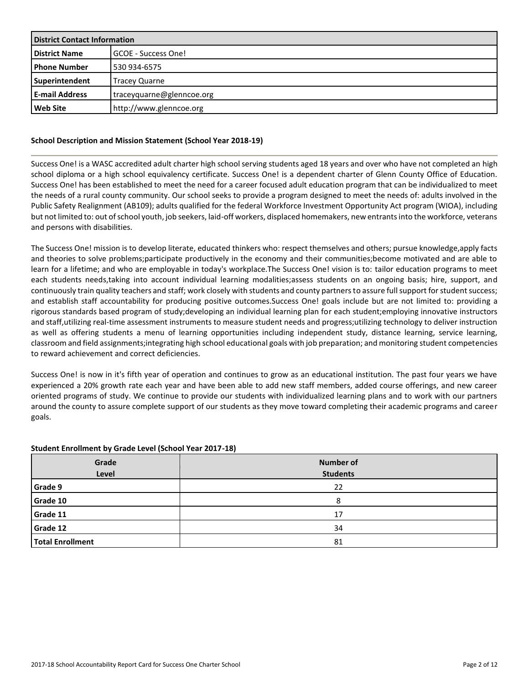| <b>District Contact Information</b> |                              |  |  |
|-------------------------------------|------------------------------|--|--|
| <b>District Name</b>                | <b>I</b> GCOE - Success One! |  |  |
| <b>I</b> Phone Number               | 530 934-6575                 |  |  |
| Superintendent                      | <b>Tracey Quarne</b>         |  |  |
| <b>E-mail Address</b>               | traceyquarne@glenncoe.org    |  |  |
| <b>Web Site</b>                     | http://www.glenncoe.org      |  |  |

### **School Description and Mission Statement (School Year 2018-19)**

Success One! is a WASC accredited adult charter high school serving students aged 18 years and over who have not completed an high school diploma or a high school equivalency certificate. Success One! is a dependent charter of Glenn County Office of Education. Success One! has been established to meet the need for a career focused adult education program that can be individualized to meet the needs of a rural county community. Our school seeks to provide a program designed to meet the needs of: adults involved in the Public Safety Realignment (AB109); adults qualified for the federal Workforce Investment Opportunity Act program (WIOA), including but not limited to: out of school youth, job seekers, laid-off workers, displaced homemakers, new entrants into the workforce, veterans and persons with disabilities.

The Success One! mission is to develop literate, educated thinkers who: respect themselves and others; pursue knowledge,apply facts and theories to solve problems;participate productively in the economy and their communities;become motivated and are able to learn for a lifetime; and who are employable in today's workplace.The Success One! vision is to: tailor education programs to meet each students needs,taking into account individual learning modalities;assess students on an ongoing basis; hire, support, and continuously train quality teachers and staff; work closely with students and county partners to assure full support for student success; and establish staff accountability for producing positive outcomes.Success One! goals include but are not limited to: providing a rigorous standards based program of study;developing an individual learning plan for each student;employing innovative instructors and staff,utilizing real-time assessment instruments to measure student needs and progress;utilizing technology to deliver instruction as well as offering students a menu of learning opportunities including independent study, distance learning, service learning, classroom and field assignments;integrating high school educational goals with job preparation; and monitoring student competencies to reward achievement and correct deficiencies.

Success One! is now in it's fifth year of operation and continues to grow as an educational institution. The past four years we have experienced a 20% growth rate each year and have been able to add new staff members, added course offerings, and new career oriented programs of study. We continue to provide our students with individualized learning plans and to work with our partners around the county to assure complete support of our students as they move toward completing their academic programs and career goals.

### **Student Enrollment by Grade Level (School Year 2017-18)**

| Grade<br>Level          | <b>Number of</b><br><b>Students</b> |
|-------------------------|-------------------------------------|
| Grade 9                 | 22                                  |
| Grade 10                | o                                   |
| Grade 11                | 17                                  |
| Grade 12                | 34                                  |
| <b>Total Enrollment</b> | 81                                  |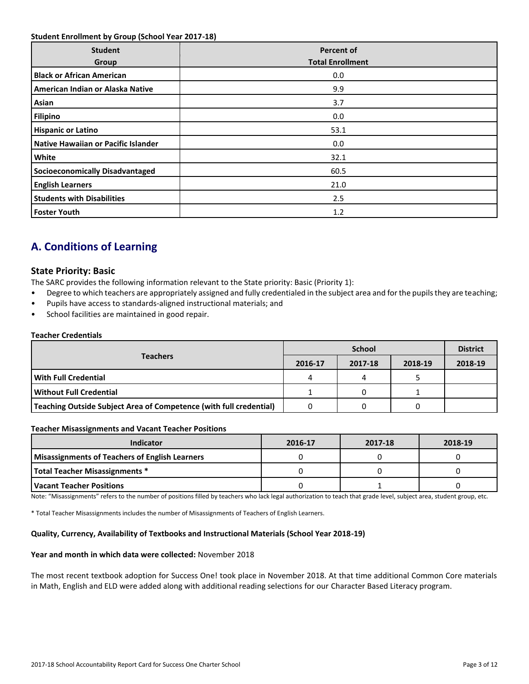### **Student Enrollment by Group (School Year 2017-18)**

| <b>Student</b><br>Group                | <b>Percent of</b><br><b>Total Enrollment</b> |
|----------------------------------------|----------------------------------------------|
| <b>Black or African American</b>       | 0.0                                          |
| American Indian or Alaska Native       | 9.9                                          |
| Asian                                  | 3.7                                          |
| <b>Filipino</b>                        | 0.0                                          |
| <b>Hispanic or Latino</b>              | 53.1                                         |
| Native Hawaiian or Pacific Islander    | 0.0                                          |
| White                                  | 32.1                                         |
| <b>Socioeconomically Disadvantaged</b> | 60.5                                         |
| <b>English Learners</b>                | 21.0                                         |
| <b>Students with Disabilities</b>      | 2.5                                          |
| <b>Foster Youth</b>                    | 1.2                                          |

## **A. Conditions of Learning**

### **State Priority: Basic**

The SARC provides the following information relevant to the State priority: Basic (Priority 1):

- Degree to which teachers are appropriately assigned and fully credentialed in the subject area and for the pupils they are teaching;
- Pupils have access to standards-aligned instructional materials; and
- School facilities are maintained in good repair.

### **Teacher Credentials**

|                                                                    | <b>School</b> |         |         | <b>District</b> |
|--------------------------------------------------------------------|---------------|---------|---------|-----------------|
| <b>Teachers</b>                                                    | 2016-17       | 2017-18 | 2018-19 | 2018-19         |
| <b>With Full Credential</b>                                        | 4             |         |         |                 |
| l Without Full Credential                                          |               |         |         |                 |
| Teaching Outside Subject Area of Competence (with full credential) |               |         |         |                 |

### **Teacher Misassignments and Vacant Teacher Positions**

| <b>Indicator</b>                                      | 2016-17 | 2017-18 | 2018-19 |
|-------------------------------------------------------|---------|---------|---------|
| <b>Misassignments of Teachers of English Learners</b> |         |         |         |
| <b>Total Teacher Misassignments *</b>                 |         |         |         |
| l Vacant Teacher Positions                            |         |         |         |

Note: "Misassignments" refers to the number of positions filled by teachers who lack legal authorization to teach that grade level, subject area, student group, etc.

\* Total Teacher Misassignments includes the number of Misassignments of Teachers of English Learners.

### **Quality, Currency, Availability of Textbooks and Instructional Materials (School Year 2018-19)**

### **Year and month in which data were collected:** November 2018

The most recent textbook adoption for Success One! took place in November 2018. At that time additional Common Core materials in Math, English and ELD were added along with additional reading selections for our Character Based Literacy program.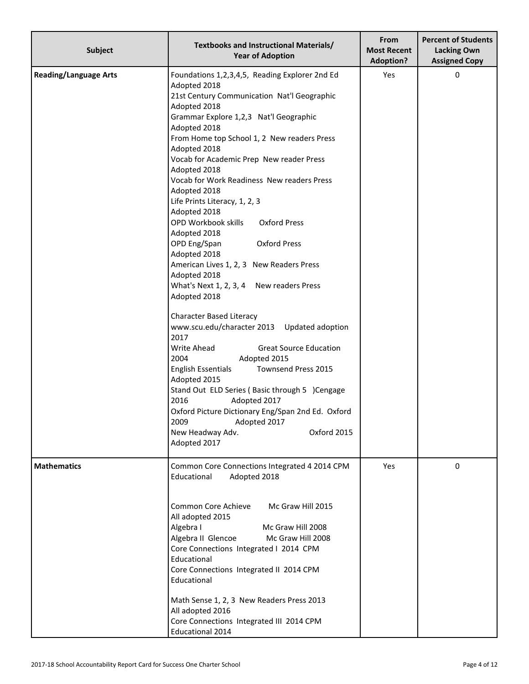| <b>Subject</b>               | Textbooks and Instructional Materials/<br><b>Year of Adoption</b>                                                                                                                                                                                                                                                                                                                                                                                                                                                                                                                                                                                                                                                                                                                                                                                                                                                                                                                                                                                                                                                                 | From<br><b>Most Recent</b><br><b>Adoption?</b> | <b>Percent of Students</b><br><b>Lacking Own</b><br><b>Assigned Copy</b> |
|------------------------------|-----------------------------------------------------------------------------------------------------------------------------------------------------------------------------------------------------------------------------------------------------------------------------------------------------------------------------------------------------------------------------------------------------------------------------------------------------------------------------------------------------------------------------------------------------------------------------------------------------------------------------------------------------------------------------------------------------------------------------------------------------------------------------------------------------------------------------------------------------------------------------------------------------------------------------------------------------------------------------------------------------------------------------------------------------------------------------------------------------------------------------------|------------------------------------------------|--------------------------------------------------------------------------|
| <b>Reading/Language Arts</b> | Foundations 1,2,3,4,5, Reading Explorer 2nd Ed<br>Adopted 2018<br>21st Century Communication Nat'l Geographic<br>Adopted 2018<br>Grammar Explore 1,2,3 Nat'l Geographic<br>Adopted 2018<br>From Home top School 1, 2 New readers Press<br>Adopted 2018<br>Vocab for Academic Prep New reader Press<br>Adopted 2018<br>Vocab for Work Readiness New readers Press<br>Adopted 2018<br>Life Prints Literacy, 1, 2, 3<br>Adopted 2018<br>OPD Workbook skills<br><b>Oxford Press</b><br>Adopted 2018<br>OPD Eng/Span<br><b>Oxford Press</b><br>Adopted 2018<br>American Lives 1, 2, 3 New Readers Press<br>Adopted 2018<br>What's Next 1, 2, 3, 4 New readers Press<br>Adopted 2018<br><b>Character Based Literacy</b><br>www.scu.edu/character 2013<br>Updated adoption<br>2017<br>Write Ahead<br><b>Great Source Education</b><br>Adopted 2015<br>2004<br>Townsend Press 2015<br><b>English Essentials</b><br>Adopted 2015<br>Stand Out ELD Series (Basic through 5 )Cengage<br>2016<br>Adopted 2017<br>Oxford Picture Dictionary Eng/Span 2nd Ed. Oxford<br>2009<br>Adopted 2017<br>Oxford 2015<br>New Headway Adv.<br>Adopted 2017 | Yes                                            | 0                                                                        |
| <b>Mathematics</b>           | Common Core Connections Integrated 4 2014 CPM<br>Educational<br>Adopted 2018<br>Common Core Achieve<br>Mc Graw Hill 2015<br>All adopted 2015<br>Algebra I<br>Mc Graw Hill 2008<br>Algebra II Glencoe<br>Mc Graw Hill 2008<br>Core Connections Integrated I 2014 CPM<br>Educational<br>Core Connections Integrated II 2014 CPM<br>Educational<br>Math Sense 1, 2, 3 New Readers Press 2013<br>All adopted 2016<br>Core Connections Integrated III 2014 CPM<br><b>Educational 2014</b>                                                                                                                                                                                                                                                                                                                                                                                                                                                                                                                                                                                                                                              | Yes                                            | 0                                                                        |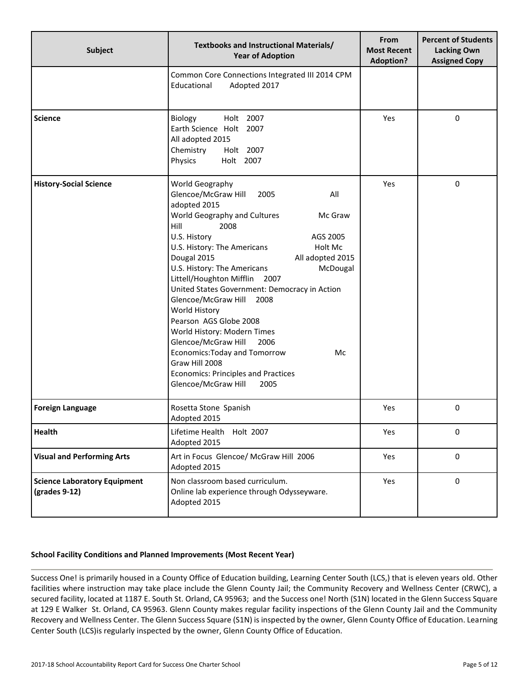| <b>Subject</b>                                       | Textbooks and Instructional Materials/<br><b>Year of Adoption</b>                                                                                                                                                                                                                                                                                                                                                                                                                                                                                                                                                                                    | <b>From</b><br><b>Most Recent</b><br><b>Adoption?</b> | <b>Percent of Students</b><br><b>Lacking Own</b><br><b>Assigned Copy</b> |
|------------------------------------------------------|------------------------------------------------------------------------------------------------------------------------------------------------------------------------------------------------------------------------------------------------------------------------------------------------------------------------------------------------------------------------------------------------------------------------------------------------------------------------------------------------------------------------------------------------------------------------------------------------------------------------------------------------------|-------------------------------------------------------|--------------------------------------------------------------------------|
|                                                      | Common Core Connections Integrated III 2014 CPM<br>Educational<br>Adopted 2017                                                                                                                                                                                                                                                                                                                                                                                                                                                                                                                                                                       |                                                       |                                                                          |
| <b>Science</b>                                       | Holt 2007<br>Biology<br>Earth Science Holt 2007<br>All adopted 2015<br>Chemistry<br>Holt 2007<br>Holt 2007<br>Physics                                                                                                                                                                                                                                                                                                                                                                                                                                                                                                                                | Yes                                                   | $\pmb{0}$                                                                |
| <b>History-Social Science</b>                        | World Geography<br>Glencoe/McGraw Hill<br>All<br>2005<br>adopted 2015<br>World Geography and Cultures<br>Mc Graw<br>Hill<br>2008<br>U.S. History<br>AGS 2005<br>U.S. History: The Americans<br>Holt Mc<br>Dougal 2015<br>All adopted 2015<br>U.S. History: The Americans<br>McDougal<br>Littell/Houghton Mifflin 2007<br>United States Government: Democracy in Action<br>Glencoe/McGraw Hill<br>2008<br>World History<br>Pearson AGS Globe 2008<br>World History: Modern Times<br>Glencoe/McGraw Hill<br>2006<br>Economics: Today and Tomorrow<br>Mc<br>Graw Hill 2008<br><b>Economics: Principles and Practices</b><br>Glencoe/McGraw Hill<br>2005 | Yes                                                   | 0                                                                        |
| <b>Foreign Language</b>                              | Rosetta Stone Spanish<br>Adopted 2015                                                                                                                                                                                                                                                                                                                                                                                                                                                                                                                                                                                                                | Yes                                                   | 0                                                                        |
| Health                                               | Lifetime Health Holt 2007<br>Adopted 2015                                                                                                                                                                                                                                                                                                                                                                                                                                                                                                                                                                                                            | Yes                                                   | 0                                                                        |
| <b>Visual and Performing Arts</b>                    | Art in Focus Glencoe/ McGraw Hill 2006<br>Adopted 2015                                                                                                                                                                                                                                                                                                                                                                                                                                                                                                                                                                                               | Yes                                                   | 0                                                                        |
| <b>Science Laboratory Equipment</b><br>(grades 9-12) | Non classroom based curriculum.<br>Online lab experience through Odysseyware.<br>Adopted 2015                                                                                                                                                                                                                                                                                                                                                                                                                                                                                                                                                        | Yes                                                   | 0                                                                        |

### **School Facility Conditions and Planned Improvements (Most Recent Year)**

Success One! is primarily housed in a County Office of Education building, Learning Center South (LCS,) that is eleven years old. Other facilities where instruction may take place include the Glenn County Jail; the Community Recovery and Wellness Center (CRWC), a secured facility, located at 1187 E. South St. Orland, CA 95963; and the Success one! North (S1N) located in the Glenn Success Square at 129 E Walker St. Orland, CA 95963. Glenn County makes regular facility inspections of the Glenn County Jail and the Community Recovery and Wellness Center. The Glenn Success Square (S1N) is inspected by the owner, Glenn County Office of Education. Learning Center South (LCS)is regularly inspected by the owner, Glenn County Office of Education.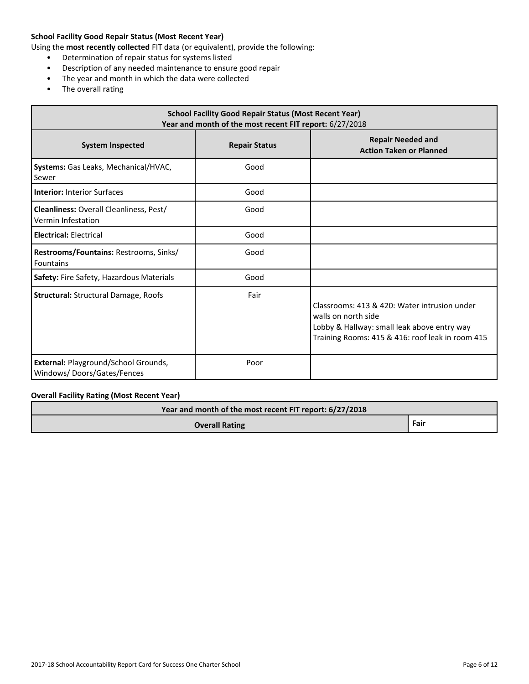### **School Facility Good Repair Status (Most Recent Year)**

Using the **most recently collected** FIT data (or equivalent), provide the following:

- Determination of repair status for systems listed
- Description of any needed maintenance to ensure good repair
- The year and month in which the data were collected
- The overall rating

| <b>School Facility Good Repair Status (Most Recent Year)</b><br>Year and month of the most recent FIT report: 6/27/2018 |                      |                                                                                                                                                                        |  |  |  |
|-------------------------------------------------------------------------------------------------------------------------|----------------------|------------------------------------------------------------------------------------------------------------------------------------------------------------------------|--|--|--|
| <b>System Inspected</b>                                                                                                 | <b>Repair Status</b> | <b>Repair Needed and</b><br><b>Action Taken or Planned</b>                                                                                                             |  |  |  |
| Systems: Gas Leaks, Mechanical/HVAC,<br>Sewer                                                                           | Good                 |                                                                                                                                                                        |  |  |  |
| <b>Interior: Interior Surfaces</b>                                                                                      | Good                 |                                                                                                                                                                        |  |  |  |
| <b>Cleanliness:</b> Overall Cleanliness, Pest/<br>Vermin Infestation                                                    | Good                 |                                                                                                                                                                        |  |  |  |
| <b>Electrical: Electrical</b>                                                                                           | Good                 |                                                                                                                                                                        |  |  |  |
| Restrooms/Fountains: Restrooms, Sinks/<br><b>Fountains</b>                                                              | Good                 |                                                                                                                                                                        |  |  |  |
| Safety: Fire Safety, Hazardous Materials                                                                                | Good                 |                                                                                                                                                                        |  |  |  |
| <b>Structural: Structural Damage, Roofs</b>                                                                             | Fair                 | Classrooms: 413 & 420: Water intrusion under<br>walls on north side<br>Lobby & Hallway: small leak above entry way<br>Training Rooms: 415 & 416: roof leak in room 415 |  |  |  |
| External: Playground/School Grounds,<br>Windows/Doors/Gates/Fences                                                      | Poor                 |                                                                                                                                                                        |  |  |  |

### **Overall Facility Rating (Most Recent Year)**

| Year and month of the most recent FIT report: 6/27/2018 |      |  |  |
|---------------------------------------------------------|------|--|--|
| <b>Overall Rating</b>                                   | Fair |  |  |
|                                                         |      |  |  |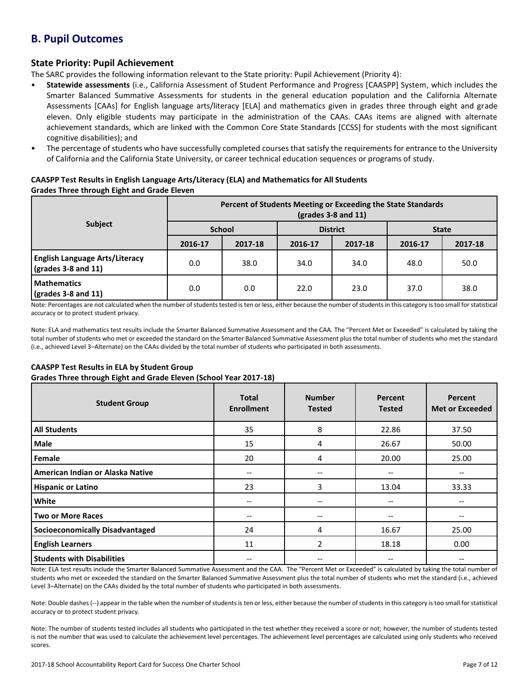## **B. Pupil Outcomes**

### **State Priority: Pupil Achievement**

The SARC provides the following information relevant to the State priority: Pupil Achievement (Priority 4):

- **Statewide assessments** (i.e., California Assessment of Student Performance and Progress [CAASPP] System, which includes the Smarter Balanced Summative Assessments for students in the general education population and the California Alternate Assessments [CAAs] for English language arts/literacy [ELA] and mathematics given in grades three through eight and grade eleven. Only eligible students may participate in the administration of the CAAs. CAAs items are aligned with alternate achievement standards, which are linked with the Common Core State Standards [CCSS] for students with the most significant cognitive disabilities); and
- The percentage of students who have successfully completed courses that satisfy the requirements for entrance to the University of California and the California State University, or career technical education sequences or programs of study.

### **CAASPP Test Results in English Language Arts/Literacy (ELA) and Mathematics for All Students Grades Three through Eight and Grade Eleven**

|                                                                       | Percent of Students Meeting or Exceeding the State Standards<br>$\left(\frac{\text{grades}}{3} - 8\right)$ and 11) |         |                 |         |              |         |
|-----------------------------------------------------------------------|--------------------------------------------------------------------------------------------------------------------|---------|-----------------|---------|--------------|---------|
| <b>Subject</b>                                                        | <b>School</b>                                                                                                      |         | <b>District</b> |         | <b>State</b> |         |
|                                                                       | 2016-17                                                                                                            | 2017-18 | 2016-17         | 2017-18 | 2016-17      | 2017-18 |
| <b>English Language Arts/Literacy</b><br>$\sqrt{(grades 3-8 and 11)}$ | 0.0                                                                                                                | 38.0    | 34.0            | 34.0    | 48.0         | 50.0    |
| <b>Mathematics</b><br>$\frac{1}{2}$ (grades 3-8 and 11)               | 0.0                                                                                                                | 0.0     | 22.0            | 23.0    | 37.0         | 38.0    |

Note: Percentages are not calculated when the number of students tested is ten or less, either because the number of students in this category is too small for statistical accuracy or to protect student privacy.

Note: ELA and mathematics test results include the Smarter Balanced Summative Assessment and the CAA. The "Percent Met or Exceeded" is calculated by taking the total number of students who met or exceeded the standard on the Smarter Balanced Summative Assessment plus the total number of students who met the standard (i.e., achieved Level 3–Alternate) on the CAAs divided by the total number of students who participated in both assessments.

### **CAASPP Test Results in ELA by Student Group**

**Grades Three through Eight and Grade Eleven (School Year 2017-18)**

| <b>Student Group</b>                   | <b>Total</b><br><b>Enrollment</b> | <b>Number</b><br><b>Tested</b>        | Percent<br><b>Tested</b> | Percent<br><b>Met or Exceeded</b> |
|----------------------------------------|-----------------------------------|---------------------------------------|--------------------------|-----------------------------------|
| <b>All Students</b>                    | 35                                | 8                                     | 22.86                    | 37.50                             |
| Male                                   | 15                                | 4                                     | 26.67                    | 50.00                             |
| Female                                 | 20                                | 4                                     | 20.00                    | 25.00                             |
| American Indian or Alaska Native       | $\overline{\phantom{m}}$          | $\hspace{0.05cm}$ – $\hspace{0.05cm}$ | --                       | --                                |
| <b>Hispanic or Latino</b>              | 23                                | 3                                     | 13.04                    | 33.33                             |
| White                                  | $-$                               | $\hspace{0.05cm}$ – $\hspace{0.05cm}$ | --                       |                                   |
| <b>Two or More Races</b>               | $-$                               | $\hspace{0.05cm}$ – $\hspace{0.05cm}$ | --                       |                                   |
| <b>Socioeconomically Disadvantaged</b> | 24                                | 4                                     | 16.67                    | 25.00                             |
| <b>English Learners</b>                | 11                                | 2                                     | 18.18                    | 0.00                              |
| <b>Students with Disabilities</b>      | --                                | --                                    | --                       |                                   |

Note: ELA test results include the Smarter Balanced Summative Assessment and the CAA. The "Percent Met or Exceeded" is calculated by taking the total number of students who met or exceeded the standard on the Smarter Balanced Summative Assessment plus the total number of students who met the standard (i.e., achieved Level 3–Alternate) on the CAAs divided by the total number of students who participated in both assessments.

Note: Double dashes (--) appear in the table when the number of students is ten or less, either because the number of students in this category is too small for statistical accuracy or to protect student privacy.

Note: The number of students tested includes all students who participated in the test whether they received a score or not; however, the number of students tested is not the number that was used to calculate the achievement level percentages. The achievement level percentages are calculated using only students who received scores.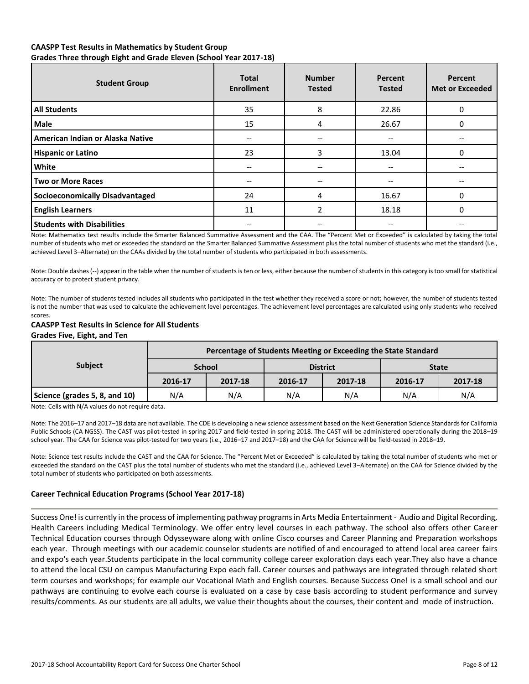### **CAASPP Test Results in Mathematics by Student Group**

**Grades Three through Eight and Grade Eleven (School Year 2017-18)**

| <b>Student Group</b>                   | <b>Total</b><br><b>Enrollment</b> | <b>Number</b><br><b>Tested</b>        | Percent<br><b>Tested</b> | Percent<br><b>Met or Exceeded</b> |
|----------------------------------------|-----------------------------------|---------------------------------------|--------------------------|-----------------------------------|
| <b>All Students</b>                    | 35                                | 8                                     | 22.86                    |                                   |
| <b>Male</b>                            | 15                                | 4                                     | 26.67                    |                                   |
| American Indian or Alaska Native       | --                                | $\hspace{0.05cm}$ – $\hspace{0.05cm}$ | --                       |                                   |
| <b>Hispanic or Latino</b>              | 23                                | 3                                     | 13.04                    | 0                                 |
| White                                  |                                   | --                                    | --                       |                                   |
| <b>Two or More Races</b>               |                                   | $\hspace{0.05cm}$ – $\hspace{0.05cm}$ |                          |                                   |
| <b>Socioeconomically Disadvantaged</b> | 24                                | 4                                     | 16.67                    |                                   |
| <b>English Learners</b>                | 11                                | 2                                     | 18.18                    | <sup>0</sup>                      |
| <b>Students with Disabilities</b>      |                                   |                                       |                          |                                   |

Note: Mathematics test results include the Smarter Balanced Summative Assessment and the CAA. The "Percent Met or Exceeded" is calculated by taking the total number of students who met or exceeded the standard on the Smarter Balanced Summative Assessment plus the total number of students who met the standard (i.e., achieved Level 3–Alternate) on the CAAs divided by the total number of students who participated in both assessments.

Note: Double dashes (--) appear in the table when the number of students is ten or less, either because the number of students in this category is too small for statistical accuracy or to protect student privacy.

Note: The number of students tested includes all students who participated in the test whether they received a score or not; however, the number of students tested is not the number that was used to calculate the achievement level percentages. The achievement level percentages are calculated using only students who received scores.

## **CAASPP Test Results in Science for All Students**

### **Grades Five, Eight, and Ten**

|                               | Percentage of Students Meeting or Exceeding the State Standard |         |         |                 |              |         |  |  |  |
|-------------------------------|----------------------------------------------------------------|---------|---------|-----------------|--------------|---------|--|--|--|
| <b>Subject</b>                | <b>School</b>                                                  |         |         | <b>District</b> | <b>State</b> |         |  |  |  |
|                               | 2016-17                                                        | 2017-18 | 2016-17 | 2017-18         | 2016-17      | 2017-18 |  |  |  |
| Science (grades 5, 8, and 10) | N/A                                                            | N/A     | N/A     | N/A             | N/A          | N/A     |  |  |  |

Note: Cells with N/A values do not require data.

Note: The 2016–17 and 2017–18 data are not available. The CDE is developing a new science assessment based on the Next Generation Science Standards for California Public Schools (CA NGSS). The CAST was pilot-tested in spring 2017 and field-tested in spring 2018. The CAST will be administered operationally during the 2018–19 school year. The CAA for Science was pilot-tested for two years (i.e., 2016–17 and 2017–18) and the CAA for Science will be field-tested in 2018–19.

Note: Science test results include the CAST and the CAA for Science. The "Percent Met or Exceeded" is calculated by taking the total number of students who met or exceeded the standard on the CAST plus the total number of students who met the standard (i.e., achieved Level 3–Alternate) on the CAA for Science divided by the total number of students who participated on both assessments.

### **Career Technical Education Programs (School Year 2017-18)**

Success One! is currently in the process of implementing pathway programs in Arts Media Entertainment - Audio and Digital Recording, Health Careers including Medical Terminology. We offer entry level courses in each pathway. The school also offers other Career Technical Education courses through Odysseyware along with online Cisco courses and Career Planning and Preparation workshops each year. Through meetings with our academic counselor students are notified of and encouraged to attend local area career fairs and expo's each year.Students participate in the local community college career exploration days each year.They also have a chance to attend the local CSU on campus Manufacturing Expo each fall. Career courses and pathways are integrated through related short term courses and workshops; for example our Vocational Math and English courses. Because Success One! is a small school and our pathways are continuing to evolve each course is evaluated on a case by case basis according to student performance and survey results/comments. As our students are all adults, we value their thoughts about the courses, their content and mode of instruction.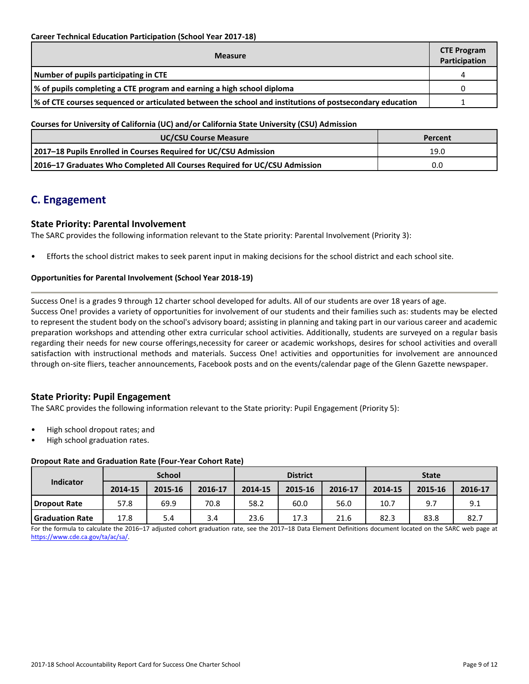| <b>Measure</b>                                                                                           |  |  |  |  |  |
|----------------------------------------------------------------------------------------------------------|--|--|--|--|--|
| Number of pupils participating in CTE                                                                    |  |  |  |  |  |
| % of pupils completing a CTE program and earning a high school diploma                                   |  |  |  |  |  |
| √ of CTE courses sequenced or articulated between the school and institutions of postsecondary education |  |  |  |  |  |

**Courses for University of California (UC) and/or California State University (CSU) Admission**

| <b>UC/CSU Course Measure</b>                                              | Percent |
|---------------------------------------------------------------------------|---------|
| 2017-18 Pupils Enrolled in Courses Required for UC/CSU Admission          | 19.0    |
| 2016–17 Graduates Who Completed All Courses Required for UC/CSU Admission | 0.0     |

## **C. Engagement**

### **State Priority: Parental Involvement**

The SARC provides the following information relevant to the State priority: Parental Involvement (Priority 3):

• Efforts the school district makes to seek parent input in making decisions for the school district and each school site.

### **Opportunities for Parental Involvement (School Year 2018-19)**

Success One! is a grades 9 through 12 charter school developed for adults. All of our students are over 18 years of age. Success One! provides a variety of opportunities for involvement of our students and their families such as: students may be elected to represent the student body on the school's advisory board; assisting in planning and taking part in our various career and academic preparation workshops and attending other extra curricular school activities. Additionally, students are surveyed on a regular basis regarding their needs for new course offerings,necessity for career or academic workshops, desires for school activities and overall satisfaction with instructional methods and materials. Success One! activities and opportunities for involvement are announced through on-site fliers, teacher announcements, Facebook posts and on the events/calendar page of the Glenn Gazette newspaper.

### **State Priority: Pupil Engagement**

The SARC provides the following information relevant to the State priority: Pupil Engagement (Priority 5):

- High school dropout rates; and
- High school graduation rates.

### **Dropout Rate and Graduation Rate (Four-Year Cohort Rate)**

| <b>School</b>          |         |         | <b>District</b> |         |         | <b>State</b> |         |         |         |
|------------------------|---------|---------|-----------------|---------|---------|--------------|---------|---------|---------|
| Indicator              | 2014-15 | 2015-16 | 2016-17         | 2014-15 | 2015-16 | 2016-17      | 2014-15 | 2015-16 | 2016-17 |
| <b>I Dropout Rate</b>  | 57.8    | 69.9    | 70.8            | 58.2    | 60.0    | 56.0         | 10.7    | 9.7     | 9.1     |
| <b>Graduation Rate</b> | 17.8    | 5.4     | 3.4             | 23.6    | 17.3    | 21.6         | 82.3    | 83.8    | 82.7    |

For the formula to calculate the 2016–17 adjusted cohort graduation rate, see the 2017–18 Data Element Definitions document located on the SARC web page at [https://www.cde.ca.gov/ta/ac/sa/.](https://www.cde.ca.gov/ta/ac/sa/)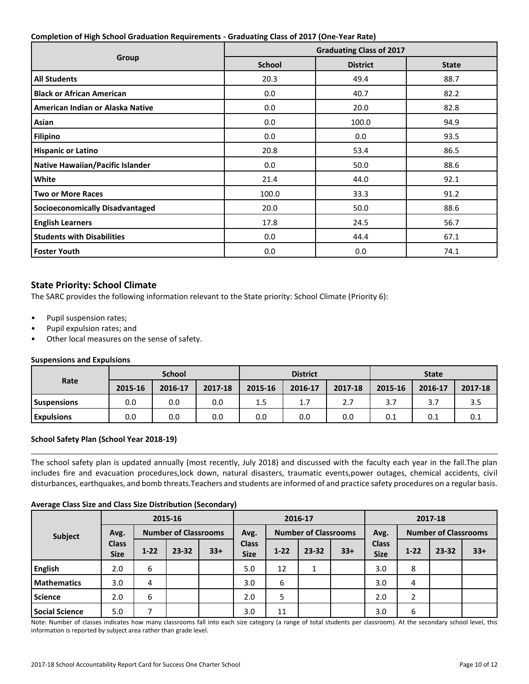### **Completion of High School Graduation Requirements - Graduating Class of 2017 (One-Year Rate)**

|                                        | <b>Graduating Class of 2017</b> |                 |              |  |  |  |
|----------------------------------------|---------------------------------|-----------------|--------------|--|--|--|
| Group                                  | <b>School</b>                   | <b>District</b> | <b>State</b> |  |  |  |
| <b>All Students</b>                    | 20.3                            | 49.4            | 88.7         |  |  |  |
| <b>Black or African American</b>       | 0.0                             | 40.7            | 82.2         |  |  |  |
| American Indian or Alaska Native       | 0.0                             | 20.0            | 82.8         |  |  |  |
| Asian                                  | 0.0                             | 100.0           | 94.9         |  |  |  |
| <b>Filipino</b>                        | 0.0                             | 0.0             | 93.5         |  |  |  |
| <b>Hispanic or Latino</b>              | 20.8                            | 53.4            | 86.5         |  |  |  |
| Native Hawaiian/Pacific Islander       | 0.0                             | 50.0            | 88.6         |  |  |  |
| White                                  | 21.4                            | 44.0            | 92.1         |  |  |  |
| <b>Two or More Races</b>               | 100.0                           | 33.3            | 91.2         |  |  |  |
| <b>Socioeconomically Disadvantaged</b> | 20.0                            | 50.0            | 88.6         |  |  |  |
| <b>English Learners</b>                | 17.8                            | 24.5            | 56.7         |  |  |  |
| <b>Students with Disabilities</b>      | 0.0                             | 44.4            | 67.1         |  |  |  |
| <b>Foster Youth</b>                    | 0.0                             | 0.0             | 74.1         |  |  |  |

### **State Priority: School Climate**

The SARC provides the following information relevant to the State priority: School Climate (Priority 6):

- Pupil suspension rates;
- Pupil expulsion rates; and
- Other local measures on the sense of safety.

### **Suspensions and Expulsions**

|                    | <b>School</b> |         |         | <b>District</b> |         |         | <b>State</b> |         |         |
|--------------------|---------------|---------|---------|-----------------|---------|---------|--------------|---------|---------|
| Rate               | 2015-16       | 2016-17 | 2017-18 | 2015-16         | 2016-17 | 2017-18 | 2015-16      | 2016-17 | 2017-18 |
| <b>Suspensions</b> | 0.0           | 0.0     | 0.0     | 1.5             | 1.7     | 2.7     | 3.7          | 3.7     | 3.5     |
| <b>Expulsions</b>  | 0.0           | 0.0     | 0.0     | 0.0             | 0.0     | 0.0     | 0.1          | 0.1     | 0.1     |

### **School Safety Plan (School Year 2018-19)**

The school safety plan is updated annually (most recently, July 2018) and discussed with the faculty each year in the fall.The plan includes fire and evacuation procedures,lock down, natural disasters, traumatic events,power outages, chemical accidents, civil disturbances, earthquakes, and bomb threats.Teachers and students are informed of and practice safety procedures on a regular basis.

### **Average Class Size and Class Size Distribution (Secondary)**

| $\tilde{\phantom{a}}$ |                             |                |                             |       | . .                         |        |                             |         |                             |          |                             |       |
|-----------------------|-----------------------------|----------------|-----------------------------|-------|-----------------------------|--------|-----------------------------|---------|-----------------------------|----------|-----------------------------|-------|
|                       |                             | 2015-16        |                             |       | 2016-17                     |        |                             | 2017-18 |                             |          |                             |       |
| Subject               | Avg.                        |                | <b>Number of Classrooms</b> |       | Avg.                        |        | <b>Number of Classrooms</b> |         | Avg.                        |          | <b>Number of Classrooms</b> |       |
|                       | <b>Class</b><br><b>Size</b> | $1 - 22$       | $23 - 32$                   | $33+$ | <b>Class</b><br><b>Size</b> | $1-22$ | $23 - 32$                   | $33+$   | <b>Class</b><br><b>Size</b> | $1 - 22$ | $23 - 32$                   | $33+$ |
| <b>English</b>        | 2.0                         | 6              |                             |       | 5.0                         | 12     | Ŧ.                          |         | 3.0                         | 8        |                             |       |
| <b>Mathematics</b>    | 3.0                         | $\overline{4}$ |                             |       | 3.0                         | 6      |                             |         | 3.0                         | 4        |                             |       |
| <b>Science</b>        | 2.0                         | 6              |                             |       | 2.0                         | 5      |                             |         | 2.0                         | າ        |                             |       |
| <b>Social Science</b> | 5.0                         |                |                             |       | 3.0                         | 11     |                             |         | 3.0                         | 6        |                             |       |

Note: Number of classes indicates how many classrooms fall into each size category (a range of total students per classroom). At the secondary school level, this information is reported by subject area rather than grade level.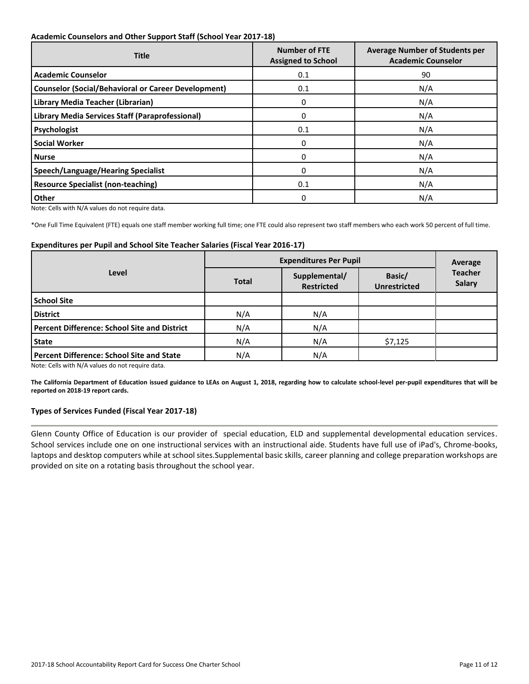### **Academic Counselors and Other Support Staff (School Year 2017-18)**

| <b>Title</b>                                               | <b>Number of FTE</b><br><b>Assigned to School</b> | <b>Average Number of Students per</b><br><b>Academic Counselor</b> |
|------------------------------------------------------------|---------------------------------------------------|--------------------------------------------------------------------|
| <b>Academic Counselor</b>                                  | 0.1                                               | 90                                                                 |
| <b>Counselor (Social/Behavioral or Career Development)</b> | 0.1                                               | N/A                                                                |
| Library Media Teacher (Librarian)                          | 0                                                 | N/A                                                                |
| Library Media Services Staff (Paraprofessional)            | $\mathbf{0}$                                      | N/A                                                                |
| Psychologist                                               | 0.1                                               | N/A                                                                |
| <b>Social Worker</b>                                       | 0                                                 | N/A                                                                |
| <b>Nurse</b>                                               | 0                                                 | N/A                                                                |
| <b>Speech/Language/Hearing Specialist</b>                  | 0                                                 | N/A                                                                |
| <b>Resource Specialist (non-teaching)</b>                  | 0.1                                               | N/A                                                                |
| <b>Other</b>                                               | 0                                                 | N/A                                                                |

Note: Cells with N/A values do not require data.

\*One Full Time Equivalent (FTE) equals one staff member working full time; one FTE could also represent two staff members who each work 50 percent of full time.

### **Expenditures per Pupil and School Site Teacher Salaries (Fiscal Year 2016-17)**

|                                                     | <b>Expenditures Per Pupil</b> | Average                            |                               |                          |  |
|-----------------------------------------------------|-------------------------------|------------------------------------|-------------------------------|--------------------------|--|
| Level                                               | <b>Total</b>                  | Supplemental/<br><b>Restricted</b> | Basic/<br><b>Unrestricted</b> | <b>Teacher</b><br>Salary |  |
| <b>School Site</b>                                  |                               |                                    |                               |                          |  |
| <b>District</b>                                     | N/A                           | N/A                                |                               |                          |  |
| <b>Percent Difference: School Site and District</b> | N/A                           | N/A                                |                               |                          |  |
| <b>State</b>                                        | N/A                           | N/A                                | \$7,125                       |                          |  |
| <b>Percent Difference: School Site and State</b>    | N/A                           | N/A                                |                               |                          |  |

Note: Cells with N/A values do not require data.

**The California Department of Education issued guidance to LEAs on August 1, 2018, regarding how to calculate school-level per-pupil expenditures that will be reported on 2018-19 report cards.**

### **Types of Services Funded (Fiscal Year 2017-18)**

Glenn County Office of Education is our provider of special education, ELD and supplemental developmental education services. School services include one on one instructional services with an instructional aide. Students have full use of iPad's, Chrome-books, laptops and desktop computers while at school sites.Supplemental basic skills, career planning and college preparation workshops are provided on site on a rotating basis throughout the school year.